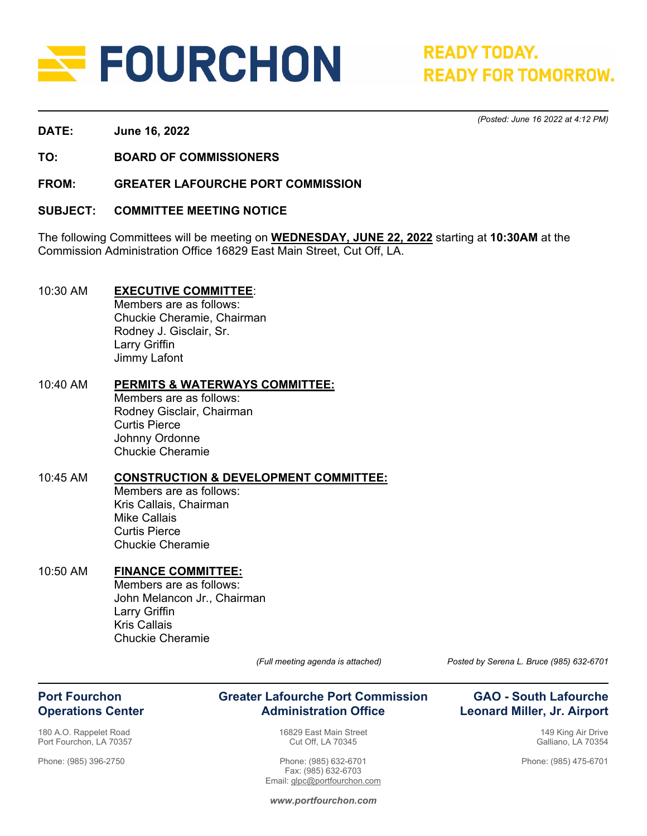

**READY TODAY. READY FOR TOMORROW.** 

*(Posted: June 16 2022 at 4:12 PM)* 

**DATE: June 16, 2022** 

**TO: BOARD OF COMMISSIONERS** 

**FROM: GREATER LAFOURCHE PORT COMMISSION** 

**SUBJECT: COMMITTEE MEETING NOTICE** 

The following Committees will be meeting on **WEDNESDAY, JUNE 22, 2022** starting at **10:30AM** at the Commission Administration Office 16829 East Main Street, Cut Off, LA.

#### 10:30 AM **EXECUTIVE COMMITTEE**:

 Members are as follows: Chuckie Cheramie, Chairman Rodney J. Gisclair, Sr. Larry Griffin Jimmy Lafont

#### 10:40 AM **PERMITS & WATERWAYS COMMITTEE:**

Members are as follows: Rodney Gisclair, Chairman Curtis Pierce Johnny Ordonne Chuckie Cheramie

#### 10:45 AM **CONSTRUCTION & DEVELOPMENT COMMITTEE:**

Members are as follows: Kris Callais, Chairman Mike Callais Curtis Pierce Chuckie Cheramie

# 10:50 AM **FINANCE COMMITTEE:**

Members are as follows: John Melancon Jr., Chairman Larry Griffin Kris Callais Chuckie Cheramie

### **Port Fourchon Operations Center**

180 A.O. Rappelet Road Port Fourchon, LA 70357

Phone: (985) 396-2750

**Greater Lafourche Port Commission Administration Office**

> 16829 East Main Street Cut Off, LA 70345

Phone: (985) 632-6701 Fax: (985) 632-6703 Email: glpc@portfourchon.com

*(Full meeting agenda is attached) Posted by Serena L. Bruce (985) 632-6701*

### **GAO - South Lafourche Leonard Miller, Jr. Airport**

149 King Air Drive Galliano, LA 70354

Phone: (985) 475-6701

*www.portfourchon.com*